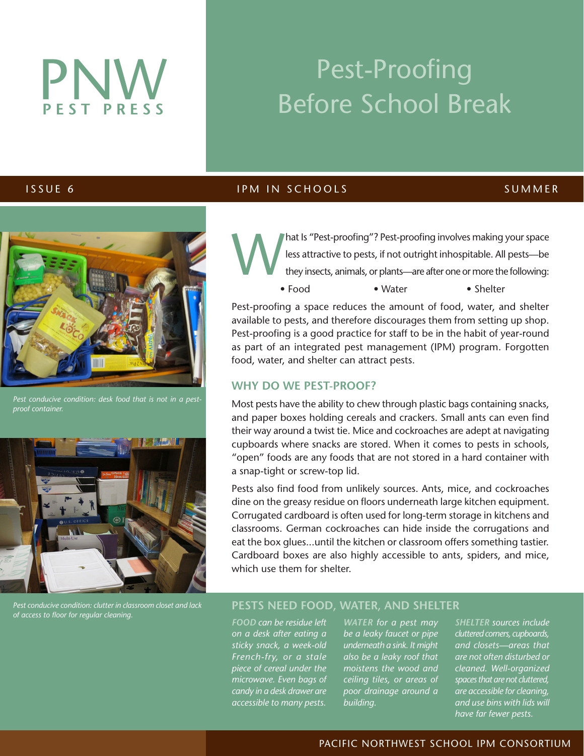# PNW **PEST PRESS**

## Pest-Proofing Before School Break

#### **ISSUE 6** IPM IN SCHOOLS SUMMER



*Pest conducive condition: desk food that is not in a pest-*



*Pest conducive condition: clutter in classroom closet and lack of access to floor for regular cleaning.*

### hat Is "Pest-proofing"? Pest-proofing involves making your space<br>less attractive to pests, if not outright inhospitable. All pests—be<br>they insects, animals, or plants—are after one or more the following: less attractive to pests, if not outright inhospitable. All pests—be they insects, animals, or plants—are after one or more the following: • Food • Water • Shelter

Pest-proofing a space reduces the amount of food, water, and shelter available to pests, and therefore discourages them from setting up shop. Pest-proofing is a good practice for staff to be in the habit of year-round as part of an integrated pest management (IPM) program. Forgotten food, water, and shelter can attract pests.

#### **WHY DO WE PEST-PROOF?**

Most pests have the ability to chew through plastic bags containing snacks, and paper boxes holding cereals and crackers. Small ants can even find their way around a twist tie. Mice and cockroaches are adept at navigating cupboards where snacks are stored. When it comes to pests in schools, "open" foods are any foods that are not stored in a hard container with a snap-tight or screw-top lid.

Pests also find food from unlikely sources. Ants, mice, and cockroaches dine on the greasy residue on floors underneath large kitchen equipment. Corrugated cardboard is often used for long-term storage in kitchens and classrooms. German cockroaches can hide inside the corrugations and eat the box glues...until the kitchen or classroom offers something tastier. Cardboard boxes are also highly accessible to ants, spiders, and mice, which use them for shelter.

#### **PESTS NEED FOOD, WATER, AND SHELTER**

*FOOD can be residue left on a desk after eating a sticky snack, a week-old French-fry, or a stale piece of cereal under the microwave. Even bags of candy in a desk drawer are accessible to many pests.* 

*WATER for a pest may be a leaky faucet or pipe underneath a sink. It might also be a leaky roof that moistens the wood and ceiling tiles, or areas of poor drainage around a building.*

*SHELTER sources include cluttered corners, cupboards, and closets—areas that are not often disturbed or cleaned. Well-organized spaces that are not cluttered, are accessible for cleaning, and use bins with lids will have far fewer pests.* 

#### PACIFIC NORTHWEST SCHOOL IPM CONSORTIUM